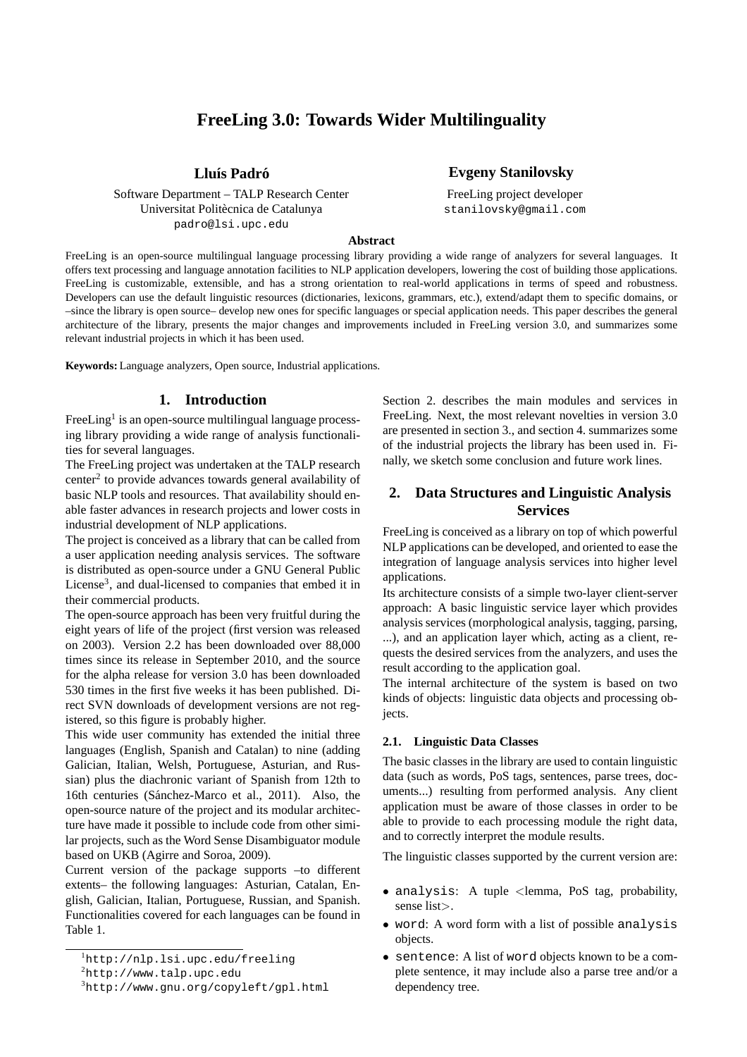# **FreeLing 3.0: Towards Wider Multilinguality**

Software Department – TALP Research Center Universitat Politècnica de Catalunya padro@lsi.upc.edu

**Llu´ıs Padro´ Evgeny Stanilovsky**

FreeLing project developer stanilovsky@gmail.com

**Abstract**

FreeLing is an open-source multilingual language processing library providing a wide range of analyzers for several languages. It offers text processing and language annotation facilities to NLP application developers, lowering the cost of building those applications. FreeLing is customizable, extensible, and has a strong orientation to real-world applications in terms of speed and robustness. Developers can use the default linguistic resources (dictionaries, lexicons, grammars, etc.), extend/adapt them to specific domains, or –since the library is open source– develop new ones for specific languages or special application needs. This paper describes the general architecture of the library, presents the major changes and improvements included in FreeLing version 3.0, and summarizes some relevant industrial projects in which it has been used.

**Keywords:** Language analyzers, Open source, Industrial applications.

## **1. Introduction**

FreeLing<sup>1</sup> is an open-source multilingual language processing library providing a wide range of analysis functionalities for several languages.

The FreeLing project was undertaken at the TALP research center<sup>2</sup> to provide advances towards general availability of basic NLP tools and resources. That availability should enable faster advances in research projects and lower costs in industrial development of NLP applications.

The project is conceived as a library that can be called from a user application needing analysis services. The software is distributed as open-source under a GNU General Public License<sup>3</sup>, and dual-licensed to companies that embed it in their commercial products.

The open-source approach has been very fruitful during the eight years of life of the project (first version was released on 2003). Version 2.2 has been downloaded over 88,000 times since its release in September 2010, and the source for the alpha release for version 3.0 has been downloaded 530 times in the first five weeks it has been published. Direct SVN downloads of development versions are not registered, so this figure is probably higher.

This wide user community has extended the initial three languages (English, Spanish and Catalan) to nine (adding Galician, Italian, Welsh, Portuguese, Asturian, and Russian) plus the diachronic variant of Spanish from 12th to 16th centuries (Sánchez-Marco et al., 2011). Also, the open-source nature of the project and its modular architecture have made it possible to include code from other similar projects, such as the Word Sense Disambiguator module based on UKB (Agirre and Soroa, 2009).

Current version of the package supports –to different extents– the following languages: Asturian, Catalan, English, Galician, Italian, Portuguese, Russian, and Spanish. Functionalities covered for each languages can be found in Table 1.

Section 2. describes the main modules and services in FreeLing. Next, the most relevant novelties in version 3.0 are presented in section 3., and section 4. summarizes some of the industrial projects the library has been used in. Finally, we sketch some conclusion and future work lines.

# **2. Data Structures and Linguistic Analysis Services**

FreeLing is conceived as a library on top of which powerful NLP applications can be developed, and oriented to ease the integration of language analysis services into higher level applications.

Its architecture consists of a simple two-layer client-server approach: A basic linguistic service layer which provides analysis services (morphological analysis, tagging, parsing, ...), and an application layer which, acting as a client, requests the desired services from the analyzers, and uses the result according to the application goal.

The internal architecture of the system is based on two kinds of objects: linguistic data objects and processing objects.

#### **2.1. Linguistic Data Classes**

The basic classes in the library are used to contain linguistic data (such as words, PoS tags, sentences, parse trees, documents...) resulting from performed analysis. Any client application must be aware of those classes in order to be able to provide to each processing module the right data, and to correctly interpret the module results.

The linguistic classes supported by the current version are:

- analysis: A tuple <lemma, PoS tag, probability, sense list>.
- word: A word form with a list of possible analysis objects.
- sentence: A list of word objects known to be a complete sentence, it may include also a parse tree and/or a dependency tree.

<sup>1</sup>http://nlp.lsi.upc.edu/freeling

 ${}^{2}$ http://www.talp.upc.edu

<sup>3</sup>http://www.gnu.org/copyleft/gpl.html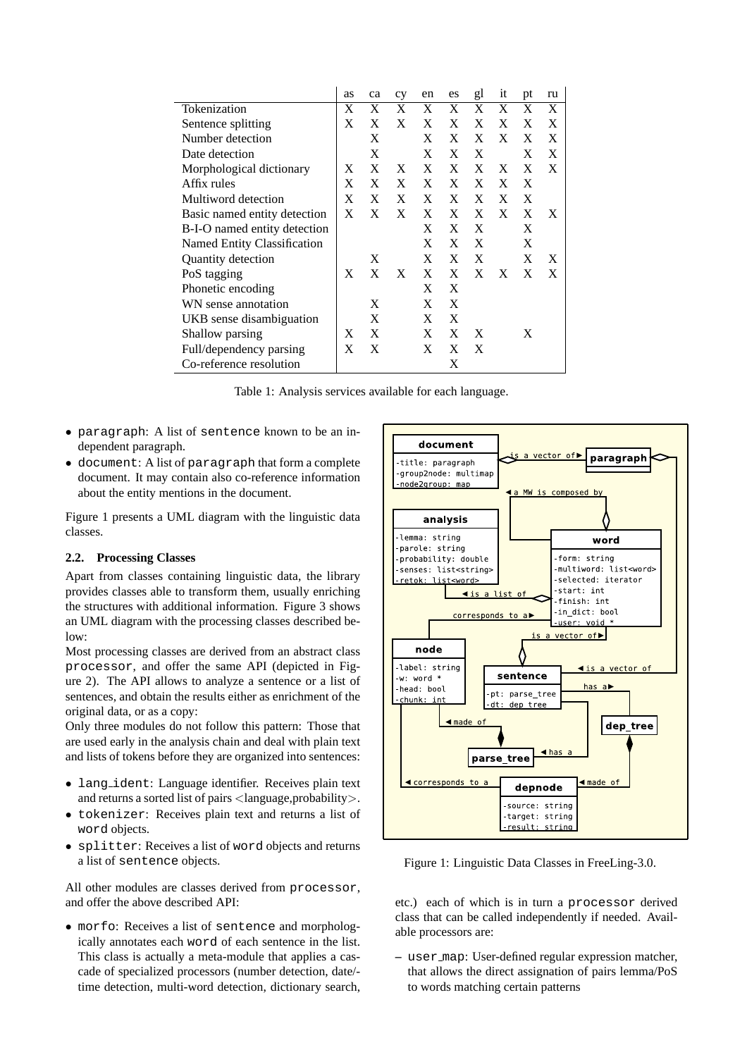|                              | as | ca | cy | en | es | gl | it | pt | ru |
|------------------------------|----|----|----|----|----|----|----|----|----|
| Tokenization                 | X  | X  | X  | X  | X  | X  | X  | X  | X  |
| Sentence splitting           | X  | X  | X  | X  | X  | X  | X  | X  | X  |
| Number detection             |    | X  |    | X  | X  | X  | X  | X  | X  |
| Date detection               |    | X  |    | X  | X  | X  |    | X  | X  |
| Morphological dictionary     | X  | X  | X  | X  | X  | X  | X  | X  | X  |
| Affix rules                  | X  | X  | X  | X  | X  | X  | X  | X  |    |
| Multiword detection          | X  | X  | X  | X  | X  | X  | X  | X  |    |
| Basic named entity detection | X  | X  | X  | X  | X  | X  | X  | X  | X  |
| B-I-O named entity detection |    |    |    | X  | X  | X  |    | X  |    |
| Named Entity Classification  |    |    |    | X  | X  | X  |    | X  |    |
| Quantity detection           |    | X  |    | X  | X  | X  |    | X  | X  |
| PoS tagging                  | X  | X  | X  | X  | X  | X  | X  | X  | X  |
| Phonetic encoding            |    |    |    | X  | X  |    |    |    |    |
| WN sense annotation          |    | X  |    | X  | X  |    |    |    |    |
| UKB sense disambiguation     |    | X  |    | X  | X  |    |    |    |    |
| Shallow parsing              | X  | X  |    | X  | X  | X  |    | X  |    |
| Full/dependency parsing      | X  | X  |    | X  | X  | X  |    |    |    |
| Co-reference resolution      |    |    |    |    | X  |    |    |    |    |

Table 1: Analysis services available for each language.

- paragraph: A list of sentence known to be an independent paragraph.
- document: A list of paragraph that form a complete document. It may contain also co-reference information about the entity mentions in the document.

Figure 1 presents a UML diagram with the linguistic data classes.

## **2.2. Processing Classes**

Apart from classes containing linguistic data, the library provides classes able to transform them, usually enriching the structures with additional information. Figure 3 shows an UML diagram with the processing classes described below:

Most processing classes are derived from an abstract class processor, and offer the same API (depicted in Figure 2). The API allows to analyze a sentence or a list of sentences, and obtain the results either as enrichment of the original data, or as a copy:

Only three modules do not follow this pattern: Those that are used early in the analysis chain and deal with plain text and lists of tokens before they are organized into sentences:

- lang ident: Language identifier. Receives plain text and returns a sorted list of pairs  $\langle$  language,probability $\rangle$ .
- tokenizer: Receives plain text and returns a list of word objects.
- splitter: Receives a list of word objects and returns a list of sentence objects.

All other modules are classes derived from processor, and offer the above described API:

• morfo: Receives a list of sentence and morphologically annotates each word of each sentence in the list. This class is actually a meta-module that applies a cascade of specialized processors (number detection, date/ time detection, multi-word detection, dictionary search,



Figure 1: Linguistic Data Classes in FreeLing-3.0.

etc.) each of which is in turn a processor derived class that can be called independently if needed. Available processors are:

**–** user map: User-defined regular expression matcher, that allows the direct assignation of pairs lemma/PoS to words matching certain patterns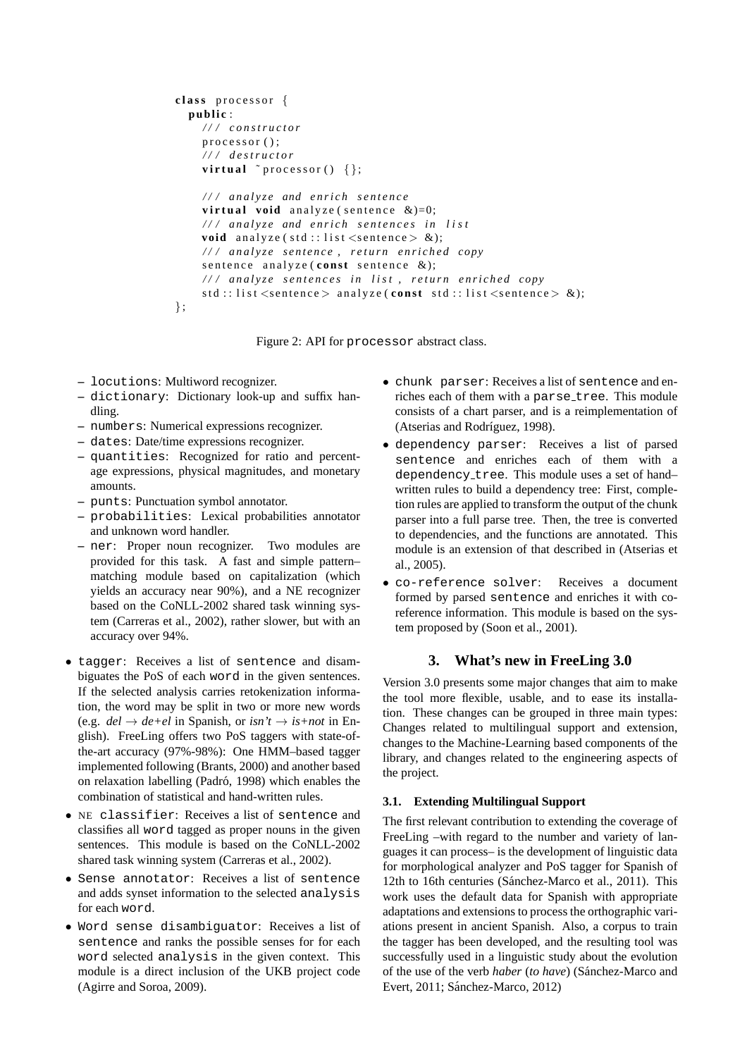```
class processor {
  public:
     / / / c o n s t r u c t o r
     processor();
     / / / d e s t r u c t o r
     virtual \tilde{p} processor(\} { };
     / / / a n a l y z e and e n r i c h s e n t e n c e
     virtual void analyze (sentence \&)=0;
     / / / a n a l y z e and e n r i c h s e n t e n c e s i n l i s t
     void analyze (std::list < sentence > \&);
     / / / a n a l y z e s e n t e n c e , r e t u r n e n r i c h e d copy
     s entence analyze (const sentence &);
     / / / a n a l y z e s e n t e n c e s i n l i s t , r e t u r n e n r i c h e d copy
     std::list<sentence> analyze(const std::list<sentence> &);
\};
```
Figure 2: API for processor abstract class.

- **–** locutions: Multiword recognizer.
- **–** dictionary: Dictionary look-up and suffix handling.
- **–** numbers: Numerical expressions recognizer.
- **–** dates: Date/time expressions recognizer.
- **–** quantities: Recognized for ratio and percentage expressions, physical magnitudes, and monetary amounts.
- **–** punts: Punctuation symbol annotator.
- **–** probabilities: Lexical probabilities annotator and unknown word handler.
- **–** ner: Proper noun recognizer. Two modules are provided for this task. A fast and simple pattern– matching module based on capitalization (which yields an accuracy near 90%), and a NE recognizer based on the CoNLL-2002 shared task winning system (Carreras et al., 2002), rather slower, but with an accuracy over 94%.
- tagger: Receives a list of sentence and disambiguates the PoS of each word in the given sentences. If the selected analysis carries retokenization information, the word may be split in two or more new words (e.g.  $del \rightarrow de +el$  in Spanish, or *isn't*  $\rightarrow$  *is+not* in English). FreeLing offers two PoS taggers with state-ofthe-art accuracy (97%-98%): One HMM–based tagger implemented following (Brants, 2000) and another based on relaxation labelling (Padró, 1998) which enables the combination of statistical and hand-written rules.
- NE classifier: Receives a list of sentence and classifies all word tagged as proper nouns in the given sentences. This module is based on the CoNLL-2002 shared task winning system (Carreras et al., 2002).
- Sense annotator: Receives a list of sentence and adds synset information to the selected analysis for each word.
- Word sense disambiguator: Receives a list of sentence and ranks the possible senses for for each word selected analysis in the given context. This module is a direct inclusion of the UKB project code (Agirre and Soroa, 2009).
- chunk parser: Receives a list of sentence and enriches each of them with a parse\_tree. This module consists of a chart parser, and is a reimplementation of (Atserias and Rodríguez, 1998).
- dependency parser: Receives a list of parsed sentence and enriches each of them with a dependency tree. This module uses a set of hand– written rules to build a dependency tree: First, completion rules are applied to transform the output of the chunk parser into a full parse tree. Then, the tree is converted to dependencies, and the functions are annotated. This module is an extension of that described in (Atserias et al., 2005).
- co-reference solver: Receives a document formed by parsed sentence and enriches it with coreference information. This module is based on the system proposed by (Soon et al., 2001).

## **3. What's new in FreeLing 3.0**

Version 3.0 presents some major changes that aim to make the tool more flexible, usable, and to ease its installation. These changes can be grouped in three main types: Changes related to multilingual support and extension, changes to the Machine-Learning based components of the library, and changes related to the engineering aspects of the project.

#### **3.1. Extending Multilingual Support**

The first relevant contribution to extending the coverage of FreeLing –with regard to the number and variety of languages it can process– is the development of linguistic data for morphological analyzer and PoS tagger for Spanish of 12th to 16th centuries (Sánchez-Marco et al., 2011). This work uses the default data for Spanish with appropriate adaptations and extensions to process the orthographic variations present in ancient Spanish. Also, a corpus to train the tagger has been developed, and the resulting tool was successfully used in a linguistic study about the evolution of the use of the verb *haber* (*to have*) (Sánchez-Marco and Evert, 2011; Sánchez-Marco, 2012)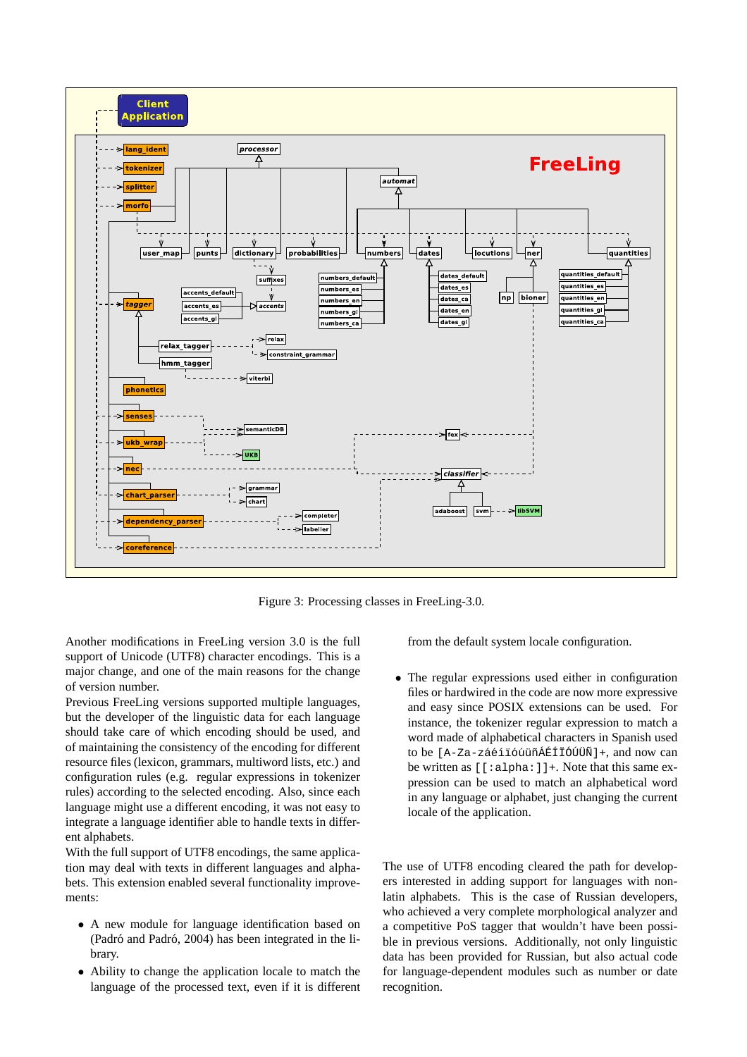

Figure 3: Processing classes in FreeLing-3.0.

Another modifications in FreeLing version 3.0 is the full support of Unicode (UTF8) character encodings. This is a major change, and one of the main reasons for the change of version number.

Previous FreeLing versions supported multiple languages, but the developer of the linguistic data for each language should take care of which encoding should be used, and of maintaining the consistency of the encoding for different resource files (lexicon, grammars, multiword lists, etc.) and configuration rules (e.g. regular expressions in tokenizer rules) according to the selected encoding. Also, since each language might use a different encoding, it was not easy to integrate a language identifier able to handle texts in different alphabets.

With the full support of UTF8 encodings, the same application may deal with texts in different languages and alphabets. This extension enabled several functionality improvements:

- A new module for language identification based on (Padró and Padró, 2004) has been integrated in the library.
- Ability to change the application locale to match the language of the processed text, even if it is different

from the default system locale configuration.

• The regular expressions used either in configuration files or hardwired in the code are now more expressive and easy since POSIX extensions can be used. For instance, the tokenizer regular expression to match a word made of alphabetical characters in Spanish used to be [A-Za-záéíióúüñÁÉÍiÓÚÜÑ]+, and now can be written as [[:alpha:]]+. Note that this same expression can be used to match an alphabetical word in any language or alphabet, just changing the current locale of the application.

The use of UTF8 encoding cleared the path for developers interested in adding support for languages with nonlatin alphabets. This is the case of Russian developers, who achieved a very complete morphological analyzer and a competitive PoS tagger that wouldn't have been possible in previous versions. Additionally, not only linguistic data has been provided for Russian, but also actual code for language-dependent modules such as number or date recognition.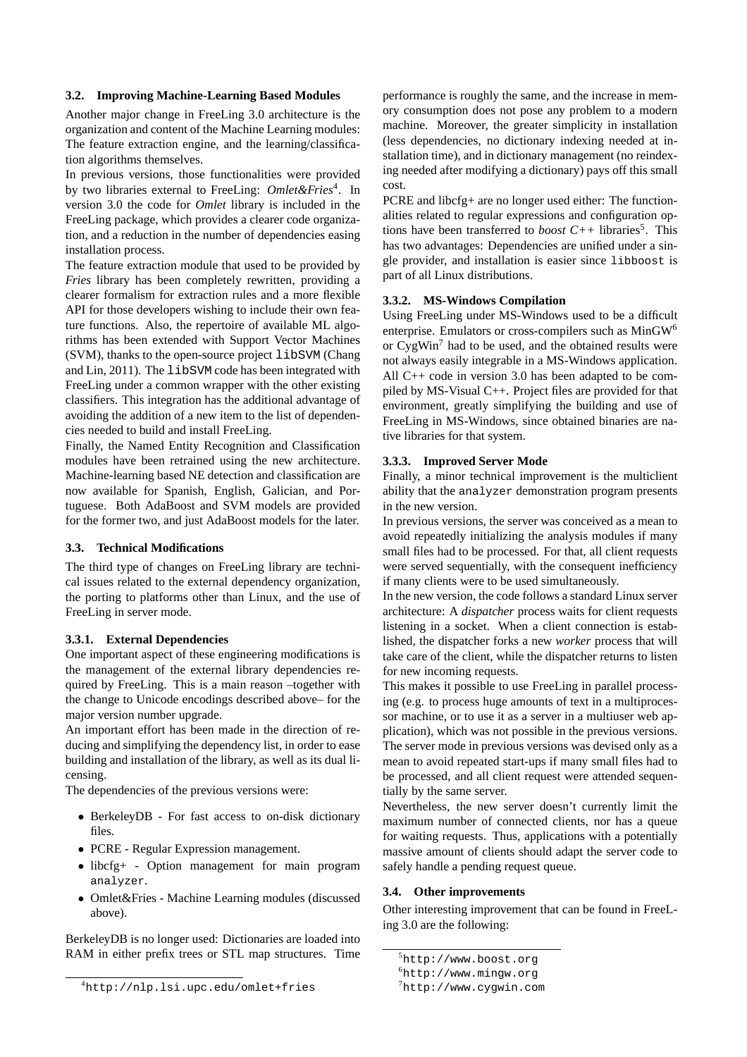#### **3.2. Improving Machine-Learning Based Modules**

Another major change in FreeLing 3.0 architecture is the organization and content of the Machine Learning modules: The feature extraction engine, and the learning/classification algorithms themselves.

In previous versions, those functionalities were provided by two libraries external to FreeLing: Omlet&Fries<sup>4</sup>. In version 3.0 the code for *Omlet* library is included in the FreeLing package, which provides a clearer code organization, and a reduction in the number of dependencies easing installation process.

The feature extraction module that used to be provided by *Fries* library has been completely rewritten, providing a clearer formalism for extraction rules and a more flexible API for those developers wishing to include their own feature functions. Also, the repertoire of available ML algorithms has been extended with Support Vector Machines (SVM), thanks to the open-source project libSVM (Chang and Lin, 2011). The libSVM code has been integrated with FreeLing under a common wrapper with the other existing classifiers. This integration has the additional advantage of avoiding the addition of a new item to the list of dependencies needed to build and install FreeLing.

Finally, the Named Entity Recognition and Classification modules have been retrained using the new architecture. Machine-learning based NE detection and classification are now available for Spanish, English, Galician, and Portuguese. Both AdaBoost and SVM models are provided for the former two, and just AdaBoost models for the later.

## **3.3. Technical Modifications**

The third type of changes on FreeLing library are technical issues related to the external dependency organization, the porting to platforms other than Linux, and the use of FreeLing in server mode.

## **3.3.1. External Dependencies**

One important aspect of these engineering modifications is the management of the external library dependencies required by FreeLing. This is a main reason –together with the change to Unicode encodings described above– for the major version number upgrade.

An important effort has been made in the direction of reducing and simplifying the dependency list, in order to ease building and installation of the library, as well as its dual licensing.

The dependencies of the previous versions were:

- BerkeleyDB For fast access to on-disk dictionary files.
- PCRE Regular Expression management.
- libcfg+ Option management for main program analyzer.
- Omlet&Fries Machine Learning modules (discussed above).

BerkeleyDB is no longer used: Dictionaries are loaded into RAM in either prefix trees or STL map structures. Time performance is roughly the same, and the increase in memory consumption does not pose any problem to a modern machine. Moreover, the greater simplicity in installation (less dependencies, no dictionary indexing needed at installation time), and in dictionary management (no reindexing needed after modifying a dictionary) pays off this small cost.

PCRE and libcfg+ are no longer used either: The functionalities related to regular expressions and configuration options have been transferred to *boost* C++ libraries<sup>5</sup>. This has two advantages: Dependencies are unified under a single provider, and installation is easier since libboost is part of all Linux distributions.

## **3.3.2. MS-Windows Compilation**

Using FreeLing under MS-Windows used to be a difficult enterprise. Emulators or cross-compilers such as MinGW<sup>6</sup> or CygWin<sup>7</sup> had to be used, and the obtained results were not always easily integrable in a MS-Windows application. All C++ code in version 3.0 has been adapted to be compiled by MS-Visual C++. Project files are provided for that environment, greatly simplifying the building and use of FreeLing in MS-Windows, since obtained binaries are native libraries for that system.

## **3.3.3. Improved Server Mode**

Finally, a minor technical improvement is the multiclient ability that the analyzer demonstration program presents in the new version.

In previous versions, the server was conceived as a mean to avoid repeatedly initializing the analysis modules if many small files had to be processed. For that, all client requests were served sequentially, with the consequent inefficiency if many clients were to be used simultaneously.

In the new version, the code follows a standard Linux server architecture: A *dispatcher* process waits for client requests listening in a socket. When a client connection is established, the dispatcher forks a new *worker* process that will take care of the client, while the dispatcher returns to listen for new incoming requests.

This makes it possible to use FreeLing in parallel processing (e.g. to process huge amounts of text in a multiprocessor machine, or to use it as a server in a multiuser web application), which was not possible in the previous versions. The server mode in previous versions was devised only as a mean to avoid repeated start-ups if many small files had to be processed, and all client request were attended sequentially by the same server.

Nevertheless, the new server doesn't currently limit the maximum number of connected clients, nor has a queue for waiting requests. Thus, applications with a potentially massive amount of clients should adapt the server code to safely handle a pending request queue.

## **3.4. Other improvements**

Other interesting improvement that can be found in FreeLing 3.0 are the following:

<sup>4</sup>http://nlp.lsi.upc.edu/omlet+fries

<sup>5</sup>http://www.boost.org

<sup>6</sup>http://www.mingw.org

 $7$ http://www.cygwin.com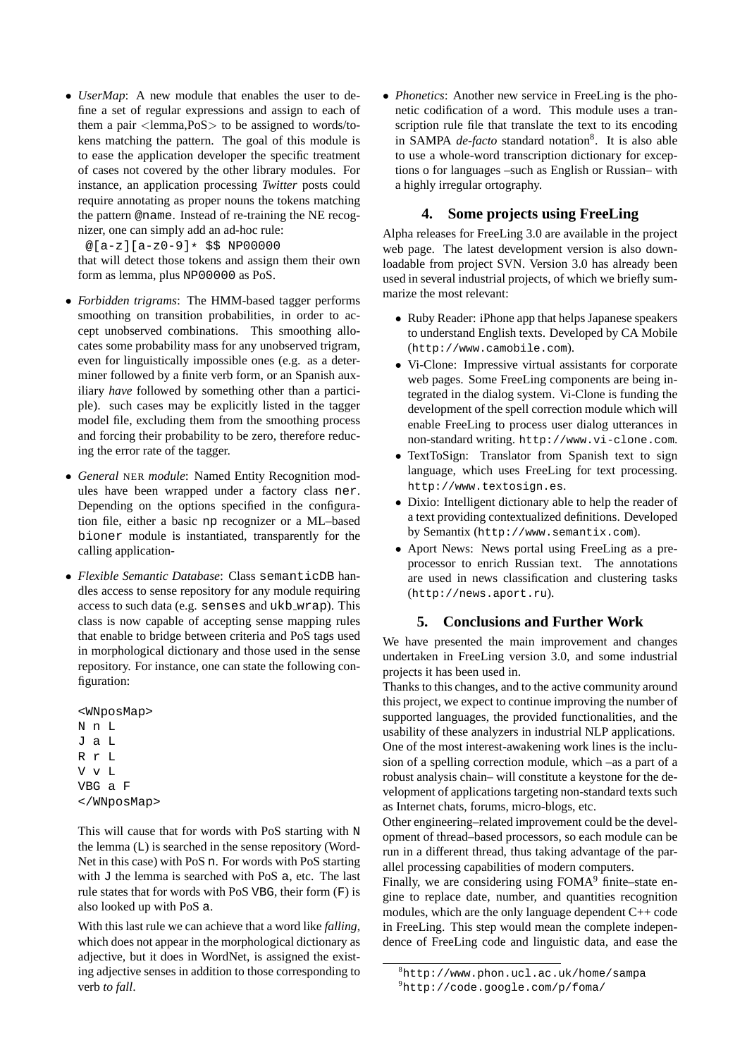• *UserMap*: A new module that enables the user to define a set of regular expressions and assign to each of them a pair  $\leq$  lemma, PoS $>$  to be assigned to words/tokens matching the pattern. The goal of this module is to ease the application developer the specific treatment of cases not covered by the other library modules. For instance, an application processing *Twitter* posts could require annotating as proper nouns the tokens matching the pattern @name. Instead of re-training the NE recognizer, one can simply add an ad-hoc rule:

@[a-z][a-z0-9]\* \$\$ NP00000

that will detect those tokens and assign them their own form as lemma, plus NP00000 as PoS.

- *Forbidden trigrams*: The HMM-based tagger performs smoothing on transition probabilities, in order to accept unobserved combinations. This smoothing allocates some probability mass for any unobserved trigram, even for linguistically impossible ones (e.g. as a determiner followed by a finite verb form, or an Spanish auxiliary *have* followed by something other than a participle). such cases may be explicitly listed in the tagger model file, excluding them from the smoothing process and forcing their probability to be zero, therefore reducing the error rate of the tagger.
- *General* NER *module*: Named Entity Recognition modules have been wrapped under a factory class ner. Depending on the options specified in the configuration file, either a basic np recognizer or a ML–based bioner module is instantiated, transparently for the calling application-
- *Flexible Semantic Database*: Class semanticDB handles access to sense repository for any module requiring access to such data (e.g. senses and ukb\_wrap). This class is now capable of accepting sense mapping rules that enable to bridge between criteria and PoS tags used in morphological dictionary and those used in the sense repository. For instance, one can state the following configuration:

<WNposMap> N n L J a L R r L V v L VBG a F </WNposMap>

This will cause that for words with PoS starting with N the lemma (L) is searched in the sense repository (Word-Net in this case) with PoS n. For words with PoS starting with  $J$  the lemma is searched with PoS  $a$ , etc. The last rule states that for words with PoS VBG, their form (F) is also looked up with PoS a.

With this last rule we can achieve that a word like *falling*, which does not appear in the morphological dictionary as adjective, but it does in WordNet, is assigned the existing adjective senses in addition to those corresponding to verb *to fall*.

• *Phonetics*: Another new service in FreeLing is the phonetic codification of a word. This module uses a transcription rule file that translate the text to its encoding in SAMPA *de-facto* standard notation<sup>8</sup>. It is also able to use a whole-word transcription dictionary for exceptions o for languages –such as English or Russian– with a highly irregular ortography.

# **4. Some projects using FreeLing**

Alpha releases for FreeLing 3.0 are available in the project web page. The latest development version is also downloadable from project SVN. Version 3.0 has already been used in several industrial projects, of which we briefly summarize the most relevant:

- Ruby Reader: iPhone app that helps Japanese speakers to understand English texts. Developed by CA Mobile (http://www.camobile.com).
- Vi-Clone: Impressive virtual assistants for corporate web pages. Some FreeLing components are being integrated in the dialog system. Vi-Clone is funding the development of the spell correction module which will enable FreeLing to process user dialog utterances in non-standard writing. http://www.vi-clone.com.
- TextToSign: Translator from Spanish text to sign language, which uses FreeLing for text processing. http://www.textosign.es.
- Dixio: Intelligent dictionary able to help the reader of a text providing contextualized definitions. Developed by Semantix (http://www.semantix.com).
- Aport News: News portal using FreeLing as a preprocessor to enrich Russian text. The annotations are used in news classification and clustering tasks (http://news.aport.ru).

## **5. Conclusions and Further Work**

We have presented the main improvement and changes undertaken in FreeLing version 3.0, and some industrial projects it has been used in.

Thanks to this changes, and to the active community around this project, we expect to continue improving the number of supported languages, the provided functionalities, and the usability of these analyzers in industrial NLP applications. One of the most interest-awakening work lines is the inclusion of a spelling correction module, which –as a part of a robust analysis chain– will constitute a keystone for the development of applications targeting non-standard texts such as Internet chats, forums, micro-blogs, etc.

Other engineering–related improvement could be the development of thread–based processors, so each module can be run in a different thread, thus taking advantage of the parallel processing capabilities of modern computers.

Finally, we are considering using  $FOMA<sup>9</sup>$  finite–state engine to replace date, number, and quantities recognition modules, which are the only language dependent C++ code in FreeLing. This step would mean the complete independence of FreeLing code and linguistic data, and ease the

 ${}^{8}$ http://www.phon.ucl.ac.uk/home/sampa  $^{9}$ http://code.google.com/p/foma/